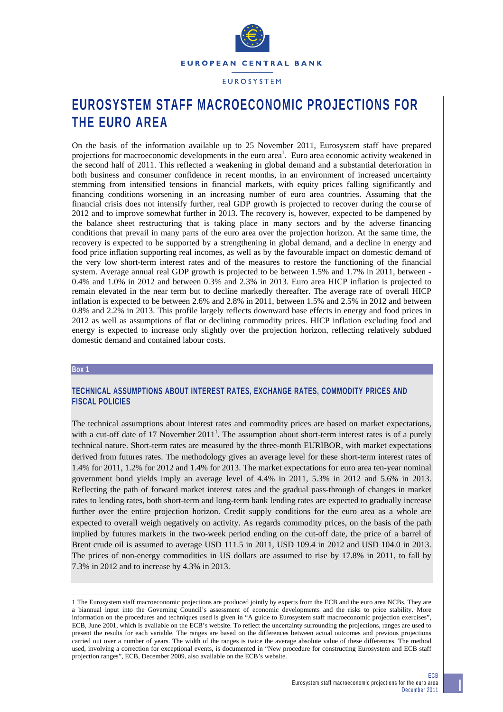

# **EUROSYSTEM STAFF MACROECONOMIC PROJECTIONS FOR THE EURO AREA**

On the basis of the information available up to 25 November 2011, Eurosystem staff have prepared projections for macroeconomic developments in the euro area<sup>1</sup>. Euro area economic activity weakened in the second half of 2011. This reflected a weakening in global demand and a substantial deterioration in both business and consumer confidence in recent months, in an environment of increased uncertainty stemming from intensified tensions in financial markets, with equity prices falling significantly and financing conditions worsening in an increasing number of euro area countries. Assuming that the financial crisis does not intensify further, real GDP growth is projected to recover during the course of 2012 and to improve somewhat further in 2013. The recovery is, however, expected to be dampened by the balance sheet restructuring that is taking place in many sectors and by the adverse financing conditions that prevail in many parts of the euro area over the projection horizon. At the same time, the recovery is expected to be supported by a strengthening in global demand, and a decline in energy and food price inflation supporting real incomes, as well as by the favourable impact on domestic demand of the very low short-term interest rates and of the measures to restore the functioning of the financial system. Average annual real GDP growth is projected to be between 1.5% and 1.7% in 2011, between - 0.4% and 1.0% in 2012 and between 0.3% and 2.3% in 2013. Euro area HICP inflation is projected to remain elevated in the near term but to decline markedly thereafter. The average rate of overall HICP inflation is expected to be between 2.6% and 2.8% in 2011, between 1.5% and 2.5% in 2012 and between 0.8% and 2.2% in 2013. This profile largely reflects downward base effects in energy and food prices in 2012 as well as assumptions of flat or declining commodity prices. HICP inflation excluding food and energy is expected to increase only slightly over the projection horizon, reflecting relatively subdued domestic demand and contained labour costs.

#### **Box 1**

l

## **TECHNICAL ASSUMPTIONS ABOUT INTEREST RATES, EXCHANGE RATES, COMMODITY PRICES AND FISCAL POLICIES**

The technical assumptions about interest rates and commodity prices are based on market expectations, with a cut-off date of 17 November  $2011<sup>1</sup>$ . The assumption about short-term interest rates is of a purely technical nature. Short-term rates are measured by the three-month EURIBOR, with market expectations derived from futures rates. The methodology gives an average level for these short-term interest rates of 1.4% for 2011, 1.2% for 2012 and 1.4% for 2013. The market expectations for euro area ten-year nominal government bond yields imply an average level of 4.4% in 2011, 5.3% in 2012 and 5.6% in 2013. Reflecting the path of forward market interest rates and the gradual pass-through of changes in market rates to lending rates, both short-term and long-term bank lending rates are expected to gradually increase further over the entire projection horizon. Credit supply conditions for the euro area as a whole are expected to overall weigh negatively on activity. As regards commodity prices, on the basis of the path implied by futures markets in the two-week period ending on the cut-off date, the price of a barrel of Brent crude oil is assumed to average USD 111.5 in 2011, USD 109.4 in 2012 and USD 104.0 in 2013. The prices of non-energy commodities in US dollars are assumed to rise by 17.8% in 2011, to fall by 7.3% in 2012 and to increase by 4.3% in 2013.

<sup>1</sup> The Eurosystem staff macroeconomic projections are produced jointly by experts from the ECB and the euro area NCBs. They are a biannual input into the Governing Council's assessment of economic developments and the risks to price stability. More information on the procedures and techniques used is given in "A guide to Eurosystem staff macroeconomic projection exercises", ECB, June 2001, which is available on the ECB's website. To reflect the uncertainty surrounding the projections, ranges are used to present the results for each variable. The ranges are based on the differences between actual outcomes and previous projections carried out over a number of years. The width of the ranges is twice the average absolute value of these differences. The method used, involving a correction for exceptional events, is documented in "New procedure for constructing Eurosystem and ECB staff projection ranges", ECB, December 2009, also available on the ECB's website.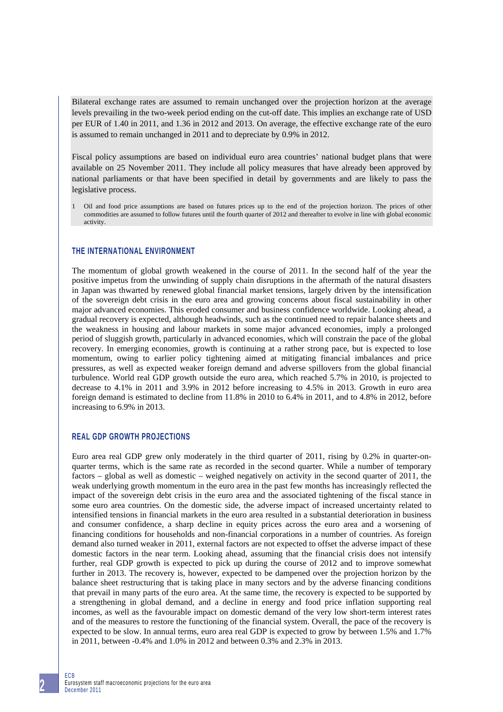Bilateral exchange rates are assumed to remain unchanged over the projection horizon at the average levels prevailing in the two-week period ending on the cut-off date. This implies an exchange rate of USD per EUR of 1.40 in 2011, and 1.36 in 2012 and 2013. On average, the effective exchange rate of the euro is assumed to remain unchanged in 2011 and to depreciate by 0.9% in 2012.

Fiscal policy assumptions are based on individual euro area countries' national budget plans that were available on 25 November 2011. They include all policy measures that have already been approved by national parliaments or that have been specified in detail by governments and are likely to pass the legislative process.

1 Oil and food price assumptions are based on futures prices up to the end of the projection horizon. The prices of other commodities are assumed to follow futures until the fourth quarter of 2012 and thereafter to evolve in line with global economic activity.

#### **THE INTERNATIONAL ENVIRONMENT**

The momentum of global growth weakened in the course of 2011. In the second half of the year the positive impetus from the unwinding of supply chain disruptions in the aftermath of the natural disasters in Japan was thwarted by renewed global financial market tensions, largely driven by the intensification of the sovereign debt crisis in the euro area and growing concerns about fiscal sustainability in other major advanced economies. This eroded consumer and business confidence worldwide. Looking ahead, a gradual recovery is expected, although headwinds, such as the continued need to repair balance sheets and the weakness in housing and labour markets in some major advanced economies, imply a prolonged period of sluggish growth, particularly in advanced economies, which will constrain the pace of the global recovery. In emerging economies, growth is continuing at a rather strong pace, but is expected to lose momentum, owing to earlier policy tightening aimed at mitigating financial imbalances and price pressures, as well as expected weaker foreign demand and adverse spillovers from the global financial turbulence. World real GDP growth outside the euro area, which reached 5.7% in 2010, is projected to decrease to 4.1% in 2011 and 3.9% in 2012 before increasing to 4.5% in 2013. Growth in euro area foreign demand is estimated to decline from 11.8% in 2010 to 6.4% in 2011, and to 4.8% in 2012, before increasing to 6.9% in 2013.

#### **REAL GDP GROWTH PROJECTIONS**

Euro area real GDP grew only moderately in the third quarter of 2011, rising by 0.2% in quarter-onquarter terms, which is the same rate as recorded in the second quarter. While a number of temporary factors – global as well as domestic – weighed negatively on activity in the second quarter of 2011, the weak underlying growth momentum in the euro area in the past few months has increasingly reflected the impact of the sovereign debt crisis in the euro area and the associated tightening of the fiscal stance in some euro area countries. On the domestic side, the adverse impact of increased uncertainty related to intensified tensions in financial markets in the euro area resulted in a substantial deterioration in business and consumer confidence, a sharp decline in equity prices across the euro area and a worsening of financing conditions for households and non-financial corporations in a number of countries. As foreign demand also turned weaker in 2011, external factors are not expected to offset the adverse impact of these domestic factors in the near term. Looking ahead, assuming that the financial crisis does not intensify further, real GDP growth is expected to pick up during the course of 2012 and to improve somewhat further in 2013. The recovery is, however, expected to be dampened over the projection horizon by the balance sheet restructuring that is taking place in many sectors and by the adverse financing conditions that prevail in many parts of the euro area. At the same time, the recovery is expected to be supported by a strengthening in global demand, and a decline in energy and food price inflation supporting real incomes, as well as the favourable impact on domestic demand of the very low short-term interest rates and of the measures to restore the functioning of the financial system. Overall, the pace of the recovery is expected to be slow. In annual terms, euro area real GDP is expected to grow by between 1.5% and 1.7% in 2011, between -0.4% and 1.0% in 2012 and between 0.3% and 2.3% in 2013.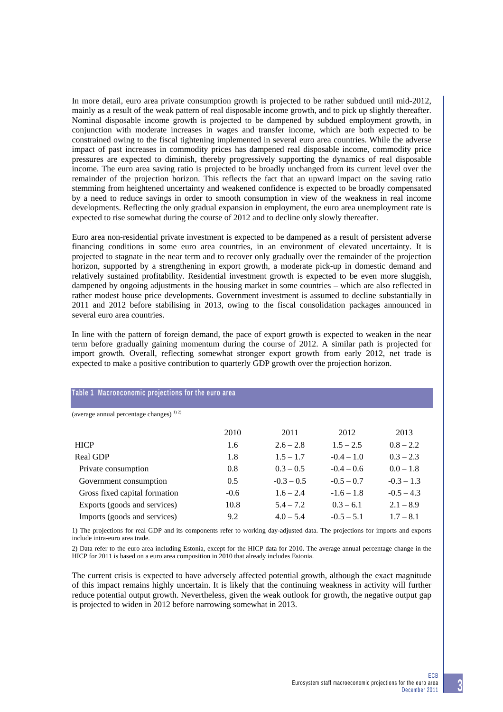In more detail, euro area private consumption growth is projected to be rather subdued until mid-2012, mainly as a result of the weak pattern of real disposable income growth, and to pick up slightly thereafter. Nominal disposable income growth is projected to be dampened by subdued employment growth, in conjunction with moderate increases in wages and transfer income, which are both expected to be constrained owing to the fiscal tightening implemented in several euro area countries. While the adverse impact of past increases in commodity prices has dampened real disposable income, commodity price pressures are expected to diminish, thereby progressively supporting the dynamics of real disposable income. The euro area saving ratio is projected to be broadly unchanged from its current level over the remainder of the projection horizon. This reflects the fact that an upward impact on the saving ratio stemming from heightened uncertainty and weakened confidence is expected to be broadly compensated by a need to reduce savings in order to smooth consumption in view of the weakness in real income developments. Reflecting the only gradual expansion in employment, the euro area unemployment rate is expected to rise somewhat during the course of 2012 and to decline only slowly thereafter.

Euro area non-residential private investment is expected to be dampened as a result of persistent adverse financing conditions in some euro area countries, in an environment of elevated uncertainty. It is projected to stagnate in the near term and to recover only gradually over the remainder of the projection horizon, supported by a strengthening in export growth, a moderate pick-up in domestic demand and relatively sustained profitability. Residential investment growth is expected to be even more sluggish, dampened by ongoing adjustments in the housing market in some countries – which are also reflected in rather modest house price developments. Government investment is assumed to decline substantially in 2011 and 2012 before stabilising in 2013, owing to the fiscal consolidation packages announced in several euro area countries.

In line with the pattern of foreign demand, the pace of export growth is expected to weaken in the near term before gradually gaining momentum during the course of 2012. A similar path is projected for import growth. Overall, reflecting somewhat stronger export growth from early 2012, net trade is expected to make a positive contribution to quarterly GDP growth over the projection horizon.

| Table 1 Macroeconomic projections for the euro area |        |              |              |              |  |  |  |  |  |
|-----------------------------------------------------|--------|--------------|--------------|--------------|--|--|--|--|--|
| (average annual percentage changes) <sup>1)2)</sup> |        |              |              |              |  |  |  |  |  |
|                                                     | 2010   | 2011         | 2012         | 2013         |  |  |  |  |  |
| <b>HICP</b>                                         | 1.6    | $2.6 - 2.8$  | $1.5 - 2.5$  | $0.8 - 2.2$  |  |  |  |  |  |
| <b>Real GDP</b>                                     | 1.8    | $1.5 - 1.7$  | $-0.4 - 1.0$ | $0.3 - 2.3$  |  |  |  |  |  |
| Private consumption                                 | 0.8    | $0.3 - 0.5$  | $-0.4 - 0.6$ | $0.0 - 1.8$  |  |  |  |  |  |
| Government consumption                              | 0.5    | $-0.3 - 0.5$ | $-0.5 - 0.7$ | $-0.3 - 1.3$ |  |  |  |  |  |
| Gross fixed capital formation                       | $-0.6$ | $1.6 - 2.4$  | $-1.6 - 1.8$ | $-0.5 - 4.3$ |  |  |  |  |  |
| Exports (goods and services)                        | 10.8   | $5.4 - 7.2$  | $0.3 - 6.1$  | $2.1 - 8.9$  |  |  |  |  |  |
| Imports (goods and services)                        | 9.2    | $4.0 - 5.4$  | $-0.5 - 5.1$ | $1.7 - 8.1$  |  |  |  |  |  |

1) The projections for real GDP and its components refer to working day-adjusted data. The projections for imports and exports include intra-euro area trade.

2) Data refer to the euro area including Estonia, except for the HICP data for 2010. The average annual percentage change in the HICP for 2011 is based on a euro area composition in 2010 that already includes Estonia.

The current crisis is expected to have adversely affected potential growth, although the exact magnitude of this impact remains highly uncertain. It is likely that the continuing weakness in activity will further reduce potential output growth. Nevertheless, given the weak outlook for growth, the negative output gap is projected to widen in 2012 before narrowing somewhat in 2013.

**3**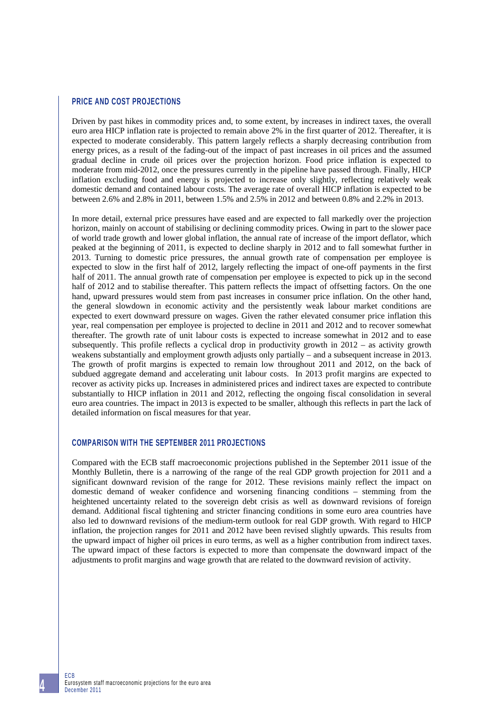### **PRICE AND COST PROJECTIONS**

Driven by past hikes in commodity prices and, to some extent, by increases in indirect taxes, the overall euro area HICP inflation rate is projected to remain above 2% in the first quarter of 2012. Thereafter, it is expected to moderate considerably. This pattern largely reflects a sharply decreasing contribution from energy prices, as a result of the fading-out of the impact of past increases in oil prices and the assumed gradual decline in crude oil prices over the projection horizon. Food price inflation is expected to moderate from mid-2012, once the pressures currently in the pipeline have passed through. Finally, HICP inflation excluding food and energy is projected to increase only slightly, reflecting relatively weak domestic demand and contained labour costs. The average rate of overall HICP inflation is expected to be between 2.6% and 2.8% in 2011, between 1.5% and 2.5% in 2012 and between 0.8% and 2.2% in 2013.

In more detail, external price pressures have eased and are expected to fall markedly over the projection horizon, mainly on account of stabilising or declining commodity prices. Owing in part to the slower pace of world trade growth and lower global inflation, the annual rate of increase of the import deflator, which peaked at the beginning of 2011, is expected to decline sharply in 2012 and to fall somewhat further in 2013. Turning to domestic price pressures, the annual growth rate of compensation per employee is expected to slow in the first half of 2012, largely reflecting the impact of one-off payments in the first half of 2011. The annual growth rate of compensation per employee is expected to pick up in the second half of 2012 and to stabilise thereafter. This pattern reflects the impact of offsetting factors. On the one hand, upward pressures would stem from past increases in consumer price inflation. On the other hand, the general slowdown in economic activity and the persistently weak labour market conditions are expected to exert downward pressure on wages. Given the rather elevated consumer price inflation this year, real compensation per employee is projected to decline in 2011 and 2012 and to recover somewhat thereafter. The growth rate of unit labour costs is expected to increase somewhat in 2012 and to ease subsequently. This profile reflects a cyclical drop in productivity growth in 2012 – as activity growth weakens substantially and employment growth adjusts only partially – and a subsequent increase in 2013. The growth of profit margins is expected to remain low throughout 2011 and 2012, on the back of subdued aggregate demand and accelerating unit labour costs. In 2013 profit margins are expected to recover as activity picks up. Increases in administered prices and indirect taxes are expected to contribute substantially to HICP inflation in 2011 and 2012, reflecting the ongoing fiscal consolidation in several euro area countries. The impact in 2013 is expected to be smaller, although this reflects in part the lack of detailed information on fiscal measures for that year.

### **COMPARISON WITH THE SEPTEMBER 2011 PROJECTIONS**

Compared with the ECB staff macroeconomic projections published in the September 2011 issue of the Monthly Bulletin, there is a narrowing of the range of the real GDP growth projection for 2011 and a significant downward revision of the range for 2012. These revisions mainly reflect the impact on domestic demand of weaker confidence and worsening financing conditions – stemming from the heightened uncertainty related to the sovereign debt crisis as well as downward revisions of foreign demand. Additional fiscal tightening and stricter financing conditions in some euro area countries have also led to downward revisions of the medium-term outlook for real GDP growth. With regard to HICP inflation, the projection ranges for 2011 and 2012 have been revised slightly upwards. This results from the upward impact of higher oil prices in euro terms, as well as a higher contribution from indirect taxes. The upward impact of these factors is expected to more than compensate the downward impact of the adjustments to profit margins and wage growth that are related to the downward revision of activity.

ECB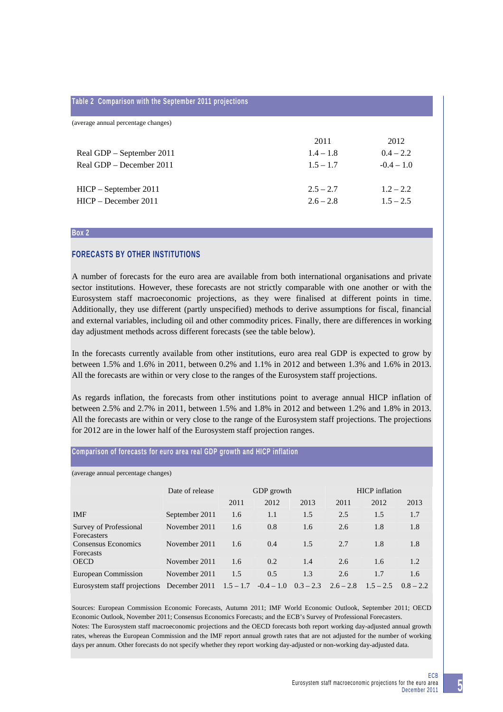#### **Table 2 Comparison with the September 2011 projections**

| (average annual percentage changes) |             |              |
|-------------------------------------|-------------|--------------|
|                                     | 2011        | 2012         |
| Real GDP – September 2011           | $1.4 - 1.8$ | $0.4 - 2.2$  |
| Real GDP – December 2011            | $1.5 - 1.7$ | $-0.4 - 1.0$ |
|                                     |             |              |
| $HICP - September 2011$             | $2.5 - 2.7$ | $1.2 - 2.2$  |
| $HICP - December 2011$              | $2.6 - 2.8$ | $1.5 - 2.5$  |
|                                     |             |              |

#### **Box 2**

#### **FORECASTS BY OTHER INSTITUTIONS**

A number of forecasts for the euro area are available from both international organisations and private sector institutions. However, these forecasts are not strictly comparable with one another or with the Eurosystem staff macroeconomic projections, as they were finalised at different points in time. Additionally, they use different (partly unspecified) methods to derive assumptions for fiscal, financial and external variables, including oil and other commodity prices. Finally, there are differences in working day adjustment methods across different forecasts (see the table below).

In the forecasts currently available from other institutions, euro area real GDP is expected to grow by between 1.5% and 1.6% in 2011, between 0.2% and 1.1% in 2012 and between 1.3% and 1.6% in 2013. All the forecasts are within or very close to the ranges of the Eurosystem staff projections.

As regards inflation, the forecasts from other institutions point to average annual HICP inflation of between 2.5% and 2.7% in 2011, between 1.5% and 1.8% in 2012 and between 1.2% and 1.8% in 2013. All the forecasts are within or very close to the range of the Eurosystem staff projections. The projections for 2012 are in the lower half of the Eurosystem staff projection ranges.

## **Comparison of forecasts for euro area real GDP growth and HICP inflation**

(average annual percentage changes)

|                                                                   | Date of release | GDP growth |      |                         | <b>HICP</b> inflation |             |             |
|-------------------------------------------------------------------|-----------------|------------|------|-------------------------|-----------------------|-------------|-------------|
|                                                                   |                 | 2011       | 2012 | 2013                    | 2011                  | 2012        | 2013        |
| <b>IMF</b>                                                        | September 2011  | 1.6        | 1.1  | 1.5                     | 2.5                   | 1.5         | 1.7         |
| Survey of Professional<br><b>Forecasters</b>                      | November 2011   | 1.6        | 0.8  | 1.6                     | 2.6                   | 1.8         | 1.8         |
| Consensus Economics<br><b>Forecasts</b>                           | November 2011   | 1.6        | 0.4  | 1.5                     | 2.7                   | 1.8         | 1.8         |
| <b>OECD</b>                                                       | November 2011   | 1.6        | 0.2  | 1.4                     | 2.6                   | 1.6         | 1.2         |
| European Commission                                               | November 2011   | 1.5        | 0.5  | 1.3                     | 2.6                   | 1.7         | 1.6         |
| Eurosystem staff projections December 2011 $1.5 - 1.7 -0.4 - 1.0$ |                 |            |      | $0.3 - 2.3$ $2.6 - 2.8$ |                       | $1.5 - 2.5$ | $0.8 - 2.2$ |

Sources: European Commission Economic Forecasts, Autumn 2011; IMF World Economic Outlook, September 2011; OECD Economic Outlook, November 2011; Consensus Economics Forecasts; and the ECB's Survey of Professional Forecasters. Notes: The Eurosystem staff macroeconomic projections and the OECD forecasts both report working day-adjusted annual growth rates, whereas the European Commission and the IMF report annual growth rates that are not adjusted for the number of working days per annum. Other forecasts do not specify whether they report working day-adjusted or non-working day-adjusted data.